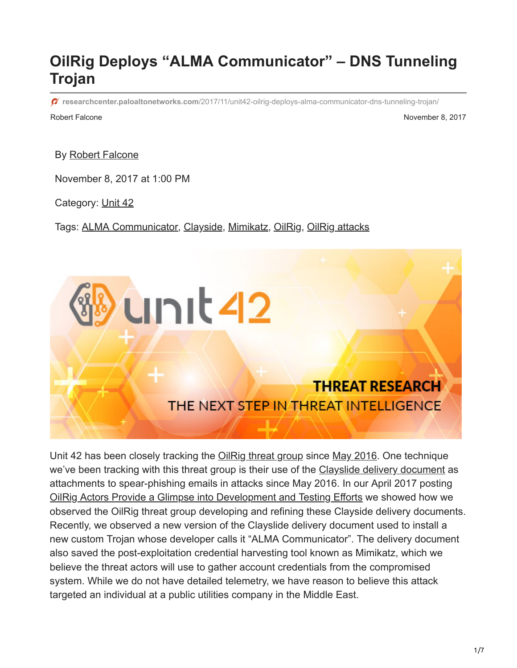## **OilRig Deploys "ALMA Communicator" – DNS Tunneling Trojan**

 $\sigma$  researchcenter.paloaltonetworks.com[/2017/11/unit42-oilrig-deploys-alma-communicator-dns-tunneling-trojan/](https://researchcenter.paloaltonetworks.com/2017/11/unit42-oilrig-deploys-alma-communicator-dns-tunneling-trojan/)

Robert Falcone **November 8, 2017** 

By [Robert Falcone](https://unit42.paloaltonetworks.com/author/robertfalcone/)

November 8, 2017 at 1:00 PM

Category: [Unit 42](https://unit42.paloaltonetworks.com/category/unit42/)

Tags: [ALMA Communicator](https://unit42.paloaltonetworks.com/tag/alma-communicator/), [Clayside,](https://unit42.paloaltonetworks.com/tag/clayside/) [Mimikatz,](https://unit42.paloaltonetworks.com/tag/mimikatz/) [OilRig](https://unit42.paloaltonetworks.com/tag/oilrig/), [OilRig attacks](https://unit42.paloaltonetworks.com/tag/oilrig-attacks/)



Unit 42 has been closely tracking the [OilRig threat group](https://blog.paloaltonetworks.com/tag/oilrig/) since [May 2016](https://blog.paloaltonetworks.com/2016/05/the-oilrig-campaign-attacks-on-saudi-arabian-organizations-deliver-helminth-backdoor/). One technique we've been tracking with this threat group is their use of the [Clayslide delivery document](https://blog.paloaltonetworks.com/tag/clayside/) as attachments to spear-phishing emails in attacks since May 2016. In our April 2017 posting [OilRig Actors Provide a Glimpse into Development and Testing Efforts](https://blog.paloaltonetworks.com/2017/04/unit42-oilrig-actors-provide-glimpse-development-testing-efforts/) we showed how we observed the OilRig threat group developing and refining these Clayside delivery documents. Recently, we observed a new version of the Clayslide delivery document used to install a new custom Trojan whose developer calls it "ALMA Communicator". The delivery document also saved the post-exploitation credential harvesting tool known as Mimikatz, which we believe the threat actors will use to gather account credentials from the compromised system. While we do not have detailed telemetry, we have reason to believe this attack targeted an individual at a public utilities company in the Middle East.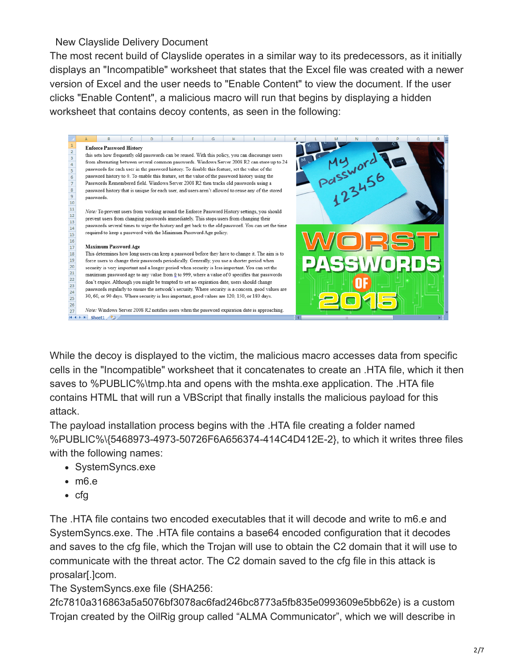## New Clayslide Delivery Document

The most recent build of Clayslide operates in a similar way to its predecessors, as it initially displays an "Incompatible" worksheet that states that the Excel file was created with a newer version of Excel and the user needs to "Enable Content" to view the document. If the user clicks "Enable Content", a malicious macro will run that begins by displaying a hidden worksheet that contains decoy contents, as seen in the following:



While the decoy is displayed to the victim, the malicious macro accesses data from specific cells in the "Incompatible" worksheet that it concatenates to create an .HTA file, which it then saves to %PUBLIC%\tmp.hta and opens with the mshta.exe application. The .HTA file contains HTML that will run a VBScript that finally installs the malicious payload for this attack.

The payload installation process begins with the .HTA file creating a folder named %PUBLIC%\{5468973-4973-50726F6A656374-414C4D412E-2}, to which it writes three files with the following names:

- SystemSyncs.exe
- m6.e
- $\bullet$  cfg

The .HTA file contains two encoded executables that it will decode and write to m6.e and SystemSyncs.exe. The .HTA file contains a base64 encoded configuration that it decodes and saves to the cfg file, which the Trojan will use to obtain the C2 domain that it will use to communicate with the threat actor. The C2 domain saved to the cfg file in this attack is prosalar[.]com.

The SystemSyncs.exe file (SHA256:

2fc7810a316863a5a5076bf3078ac6fad246bc8773a5fb835e0993609e5bb62e) is a custom Trojan created by the OilRig group called "ALMA Communicator", which we will describe in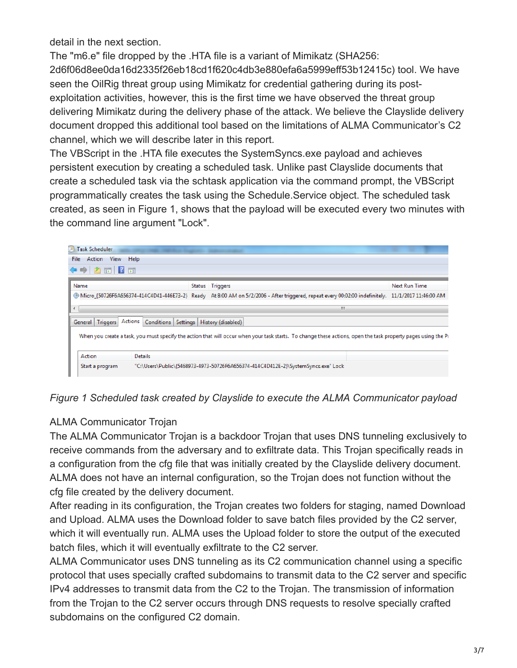detail in the next section.

The "m6.e" file dropped by the .HTA file is a variant of Mimikatz (SHA256: 2d6f06d8ee0da16d2335f26eb18cd1f620c4db3e880efa6a5999eff53b12415c) tool. We have seen the OilRig threat group using Mimikatz for credential gathering during its postexploitation activities, however, this is the first time we have observed the threat group delivering Mimikatz during the delivery phase of the attack. We believe the Clayslide delivery document dropped this additional tool based on the limitations of ALMA Communicator's C2 channel, which we will describe later in this report.

The VBScript in the .HTA file executes the SystemSyncs.exe payload and achieves persistent execution by creating a scheduled task. Unlike past Clayslide documents that create a scheduled task via the schtask application via the command prompt, the VBScript programmatically creates the task using the Schedule.Service object. The scheduled task created, as seen in Figure 1, shows that the payload will be executed every two minutes with the command line argument "Lock".

| <b>Task Scheduler</b>                                                                                                                                         |                 |                |  |                                                                                                                                                    |               |
|---------------------------------------------------------------------------------------------------------------------------------------------------------------|-----------------|----------------|--|----------------------------------------------------------------------------------------------------------------------------------------------------|---------------|
| File Action View Help                                                                                                                                         |                 |                |  |                                                                                                                                                    |               |
| ◆ ◆ 】 置 【 】 置                                                                                                                                                 |                 |                |  |                                                                                                                                                    |               |
|                                                                                                                                                               | Name            |                |  | Status Triggers                                                                                                                                    | Next Run Time |
|                                                                                                                                                               |                 |                |  | Micro_{50726F6A656374-414C4D41-446E73-2} Ready At 8:00 AM on 5/2/2006 - After triggered, repeat every 00:02:00 indefinitely. 11/1/2017 11:46:00 AM |               |
| $\left($                                                                                                                                                      |                 |                |  | ш                                                                                                                                                  |               |
| General Triggers Actions<br>Conditions Settings   History (disabled)                                                                                          |                 |                |  |                                                                                                                                                    |               |
| When you create a task, you must specify the action that will occur when your task starts. To change these actions, open the task property pages using the Pi |                 |                |  |                                                                                                                                                    |               |
|                                                                                                                                                               | Action          | <b>Details</b> |  |                                                                                                                                                    |               |
|                                                                                                                                                               | Start a program |                |  | "C:\Users\Public\{5468973-4973-50726F6A656374-414C4D412E-2}\SystemSyncs.exe" Lock                                                                  |               |



## ALMA Communicator Trojan

The ALMA Communicator Trojan is a backdoor Trojan that uses DNS tunneling exclusively to receive commands from the adversary and to exfiltrate data. This Trojan specifically reads in a configuration from the cfg file that was initially created by the Clayslide delivery document. ALMA does not have an internal configuration, so the Trojan does not function without the cfg file created by the delivery document.

After reading in its configuration, the Trojan creates two folders for staging, named Download and Upload. ALMA uses the Download folder to save batch files provided by the C2 server, which it will eventually run. ALMA uses the Upload folder to store the output of the executed batch files, which it will eventually exfiltrate to the C2 server.

ALMA Communicator uses DNS tunneling as its C2 communication channel using a specific protocol that uses specially crafted subdomains to transmit data to the C2 server and specific IPv4 addresses to transmit data from the C2 to the Trojan. The transmission of information from the Trojan to the C2 server occurs through DNS requests to resolve specially crafted subdomains on the configured C2 domain.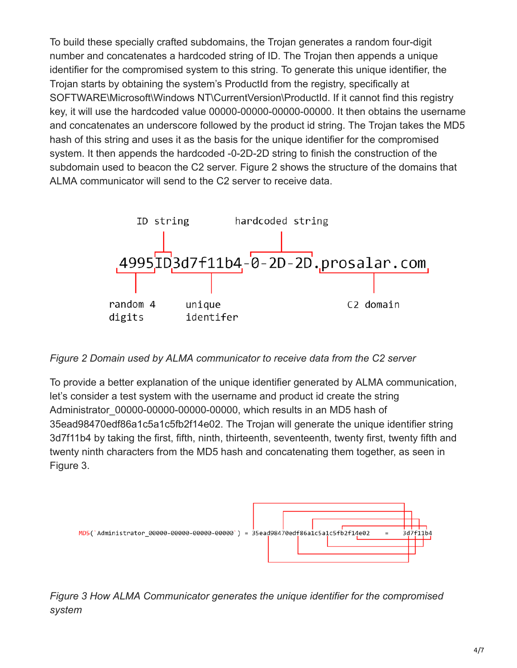To build these specially crafted subdomains, the Trojan generates a random four-digit number and concatenates a hardcoded string of ID. The Trojan then appends a unique identifier for the compromised system to this string. To generate this unique identifier, the Trojan starts by obtaining the system's ProductId from the registry, specifically at SOFTWARE\Microsoft\Windows NT\CurrentVersion\ProductId. If it cannot find this registry key, it will use the hardcoded value 00000-00000-00000-00000. It then obtains the username and concatenates an underscore followed by the product id string. The Trojan takes the MD5 hash of this string and uses it as the basis for the unique identifier for the compromised system. It then appends the hardcoded -0-2D-2D string to finish the construction of the subdomain used to beacon the C2 server. Figure 2 shows the structure of the domains that ALMA communicator will send to the C2 server to receive data.



*Figure 2 Domain used by ALMA communicator to receive data from the C2 server*

To provide a better explanation of the unique identifier generated by ALMA communication, let's consider a test system with the username and product id create the string Administrator\_00000-00000-00000-00000, which results in an MD5 hash of 35ead98470edf86a1c5a1c5fb2f14e02. The Trojan will generate the unique identifier string 3d7f11b4 by taking the first, fifth, ninth, thirteenth, seventeenth, twenty first, twenty fifth and twenty ninth characters from the MD5 hash and concatenating them together, as seen in Figure 3.



*Figure 3 How ALMA Communicator generates the unique identifier for the compromised system*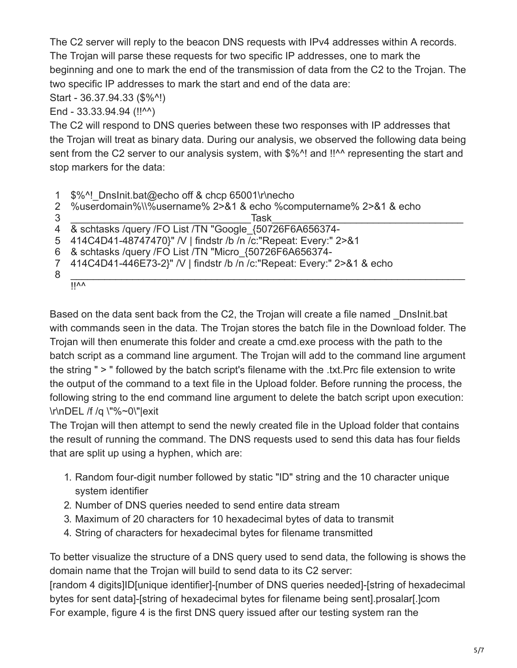The C2 server will reply to the beacon DNS requests with IPv4 addresses within A records. The Trojan will parse these requests for two specific IP addresses, one to mark the beginning and one to mark the end of the transmission of data from the C2 to the Trojan. The two specific IP addresses to mark the start and end of the data are:

Start - 36.37.94.33 (\$%^!)

End - 33.33.94.94 (!!^^)

The C2 will respond to DNS queries between these two responses with IP addresses that the Trojan will treat as binary data. During our analysis, we observed the following data being sent from the C2 server to our analysis system, with \$%^! and !!^^ representing the start and stop markers for the data:

1 \$%^! DnsInit.bat@echo off & chcp 65001\r\necho

2 %userdomain%\\%username% 2>&1 & echo %computername% 2>&1 & echo

```
________________________________Task__________________________________
```

```
4
   & schtasks /query /FO List /TN "Google_{50726F6A656374-
```
5 414C4D41-48747470}" /V | findstr /b /n /c:"Repeat: Every:" 2>&1

6 & schtasks /query /FO List /TN "Micro\_{50726F6A656374-

7 414C4D41-446E73-2}" /V | findstr /b /n /c:"Repeat: Every:" 2>&1 & echo

```
8
```
3

```
______________________________________________________________________ 
\overline{||\mathsf{vv}\rangle}
```
Based on the data sent back from the C2, the Trojan will create a file named \_DnsInit.bat with commands seen in the data. The Trojan stores the batch file in the Download folder. The Trojan will then enumerate this folder and create a cmd.exe process with the path to the batch script as a command line argument. The Trojan will add to the command line argument the string " > " followed by the batch script's filename with the .txt.Prc file extension to write the output of the command to a text file in the Upload folder. Before running the process, the following string to the end command line argument to delete the batch script upon execution: \r\nDEL /f /q \"%~0\"|exit

The Trojan will then attempt to send the newly created file in the Upload folder that contains the result of running the command. The DNS requests used to send this data has four fields that are split up using a hyphen, which are:

- 1. Random four-digit number followed by static "ID" string and the 10 character unique system identifier
- 2. Number of DNS queries needed to send entire data stream
- 3. Maximum of 20 characters for 10 hexadecimal bytes of data to transmit
- 4. String of characters for hexadecimal bytes for filename transmitted

To better visualize the structure of a DNS query used to send data, the following is shows the domain name that the Trojan will build to send data to its C2 server:

[random 4 digits]ID[unique identifier]-[number of DNS queries needed]-[string of hexadecimal bytes for sent data]-[string of hexadecimal bytes for filename being sent].prosalar[.]com For example, figure 4 is the first DNS query issued after our testing system ran the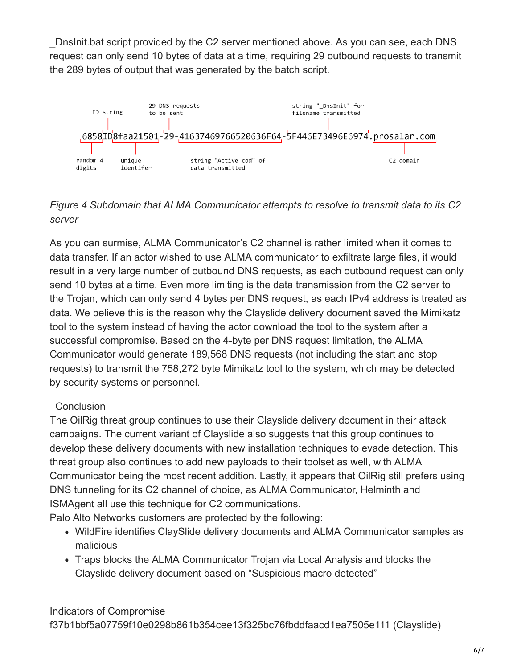\_DnsInit.bat script provided by the C2 server mentioned above. As you can see, each DNS request can only send 10 bytes of data at a time, requiring 29 outbound requests to transmit the 289 bytes of output that was generated by the batch script.



*Figure 4 Subdomain that ALMA Communicator attempts to resolve to transmit data to its C2 server*

As you can surmise, ALMA Communicator's C2 channel is rather limited when it comes to data transfer. If an actor wished to use ALMA communicator to exfiltrate large files, it would result in a very large number of outbound DNS requests, as each outbound request can only send 10 bytes at a time. Even more limiting is the data transmission from the C2 server to the Trojan, which can only send 4 bytes per DNS request, as each IPv4 address is treated as data. We believe this is the reason why the Clayslide delivery document saved the Mimikatz tool to the system instead of having the actor download the tool to the system after a successful compromise. Based on the 4-byte per DNS request limitation, the ALMA Communicator would generate 189,568 DNS requests (not including the start and stop requests) to transmit the 758,272 byte Mimikatz tool to the system, which may be detected by security systems or personnel.

## **Conclusion**

The OilRig threat group continues to use their Clayslide delivery document in their attack campaigns. The current variant of Clayslide also suggests that this group continues to develop these delivery documents with new installation techniques to evade detection. This threat group also continues to add new payloads to their toolset as well, with ALMA Communicator being the most recent addition. Lastly, it appears that OilRig still prefers using DNS tunneling for its C2 channel of choice, as ALMA Communicator, Helminth and ISMAgent all use this technique for C2 communications.

Palo Alto Networks customers are protected by the following:

- WildFire identifies ClaySlide delivery documents and ALMA Communicator samples as malicious
- Traps blocks the ALMA Communicator Trojan via Local Analysis and blocks the Clayslide delivery document based on "Suspicious macro detected"

Indicators of Compromise f37b1bbf5a07759f10e0298b861b354cee13f325bc76fbddfaacd1ea7505e111 (Clayslide)